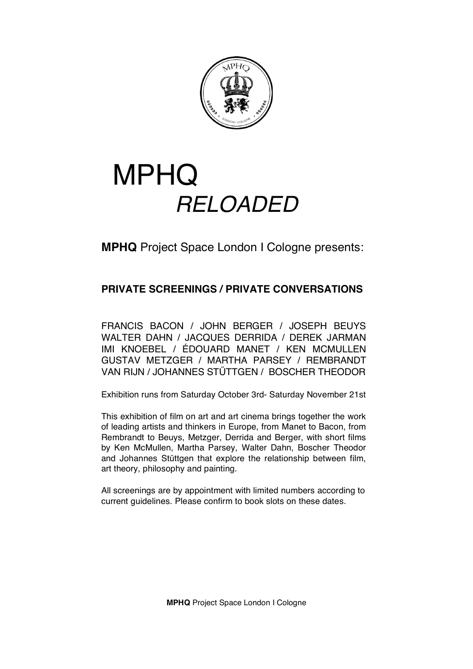

# MPHQ *RELOADED*

**MPHQ** Project Space London I Cologne presents:

## **PRIVATE SCREENINGS / PRIVATE CONVERSATIONS**

FRANCIS BACON / JOHN BERGER / JOSEPH BEUYS WALTER DAHN / JACQUES DERRIDA / DEREK JARMAN IMI KNOEBEL / ÉDOUARD MANET / KEN MCMULLEN GUSTAV METZGER / MARTHA PARSEY / REMBRANDT VAN RIJN / JOHANNES STÜTTGEN / BOSCHER THEODOR

Exhibition runs from Saturday October 3rd- Saturday November 21st

This exhibition of film on art and art cinema brings together the work of leading artists and thinkers in Europe, from Manet to Bacon, from Rembrandt to Beuys, Metzger, Derrida and Berger, with short films by Ken McMullen, Martha Parsey, Walter Dahn, Boscher Theodor and Johannes Stüttgen that explore the relationship between film, art theory, philosophy and painting.

All screenings are by appointment with limited numbers according to current guidelines. Please confirm to book slots on these dates.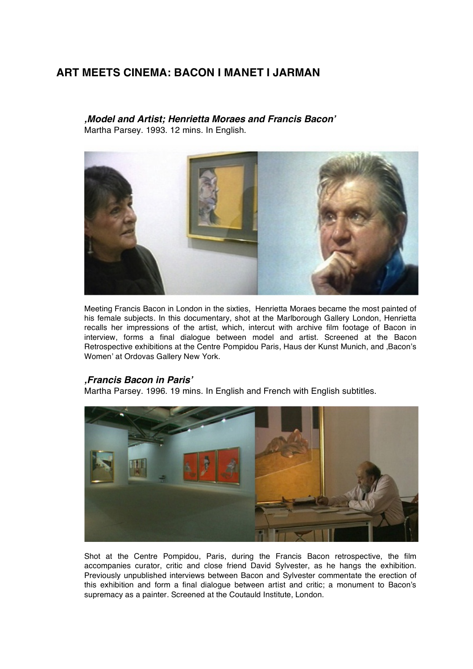## **ART MEETS CINEMA: BACON I MANET I JARMAN**

*'Model and Artist; Henrietta Moraes and Francis Bacon***'** Martha Parsey. 1993. 12 mins. In English.



Meeting Francis Bacon in London in the sixties, Henrietta Moraes became the most painted of his female subjects. In this documentary, shot at the Marlborough Gallery London, Henrietta recalls her impressions of the artist, which, intercut with archive film footage of Bacon in interview, forms a final dialogue between model and artist. Screened at the Bacon Retrospective exhibitions at the Centre Pompidou Paris, Haus der Kunst Munich, and ,Bacon's Women' at Ordovas Gallery New York.

#### *'Francis Bacon in Paris***'**

Martha Parsey. 1996. 19 mins. In English and French with English subtitles.



Shot at the Centre Pompidou, Paris, during the Francis Bacon retrospective, the film accompanies curator, critic and close friend David Sylvester, as he hangs the exhibition. Previously unpublished interviews between Bacon and Sylvester commentate the erection of this exhibition and form a final dialogue between artist and critic; a monument to Bacon's supremacy as a painter. Screened at the Coutauld Institute, London.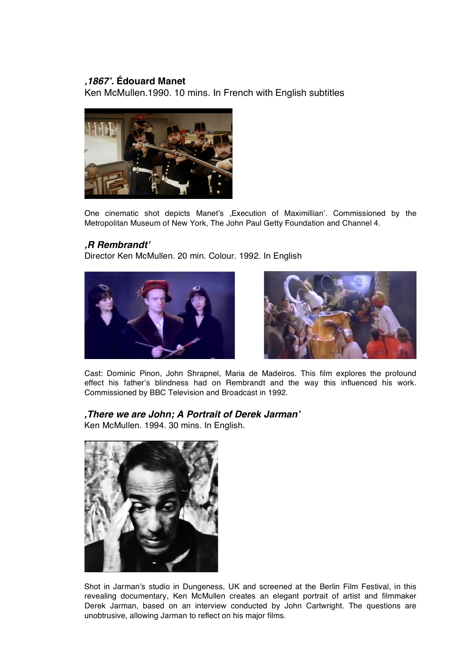### *'1867***'***.* **Édouard Manet**

Ken McMullen.1990. 10 mins. In French with English subtitles



One cinematic shot depicts Manet's 'Execution of Maximillian'. Commissioned by the Metropolitan Museum of New York, The John Paul Getty Foundation and Channel 4.

### *'R Rembrandt***'**

Director Ken McMullen. 20 min. Colour. 1992. In English





Cast: Dominic Pinon, John Shrapnel, Maria de Madeiros. This film explores the profound effect his father's blindness had on Rembrandt and the way this influenced his work. Commissioned by BBC Television and Broadcast in 1992.

### *'There we are John; A Portrait of Derek Jarman***'**

Ken McMullen. 1994. 30 mins. In English.



Shot in Jarman's studio in Dungeness, UK and screened at the Berlin Film Festival, in this revealing documentary, Ken McMullen creates an elegant portrait of artist and filmmaker Derek Jarman, based on an interview conducted by John Cartwright. The questions are unobtrusive, allowing Jarman to reflect on his major films.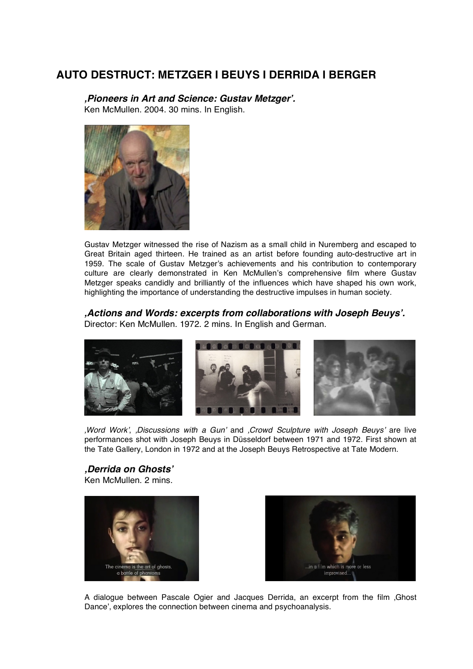## **AUTO DESTRUCT: METZGER I BEUYS I DERRIDA I BERGER**

*'Pioneers in Art and Science: Gustav Metzger***'***.* Ken McMullen. 2004. 30 mins. In English.



Gustav Metzger witnessed the rise of Nazism as a small child in Nuremberg and escaped to Great Britain aged thirteen. He trained as an artist before founding auto-destructive art in 1959. The scale of Gustav Metzger's achievements and his contribution to contemporary culture are clearly demonstrated in Ken McMullen's comprehensive film where Gustav Metzger speaks candidly and brilliantly of the influences which have shaped his own work, highlighting the importance of understanding the destructive impulses in human society.

*'Actions and Words: excerpts from collaborations with Joseph Beuys***'***.*  Director: Ken McMullen. 1972. 2 mins. In English and German.



*'Word Work*', *'Discussions with a Gun*' and *'Crowd Sculpture with Joseph Beuys*' are live performances shot with Joseph Beuys in Düsseldorf between 1971 and 1972. First shown at the Tate Gallery, London in 1972 and at the Joseph Beuys Retrospective at Tate Modern.

*'Derrida on Ghosts***'** Ken McMullen. 2 mins.





A dialogue between Pascale Ogier and Jacques Derrida, an excerpt from the film 'Ghost Dance', explores the connection between cinema and psychoanalysis.